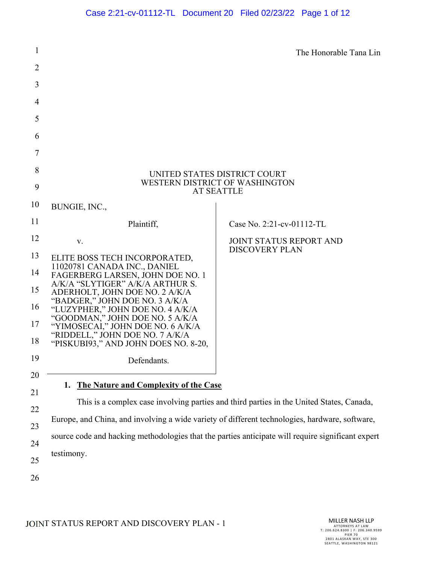| 1              |                                                                                                   | The Honorable Tana Lin                                  |  |
|----------------|---------------------------------------------------------------------------------------------------|---------------------------------------------------------|--|
| $\overline{2}$ |                                                                                                   |                                                         |  |
| 3              |                                                                                                   |                                                         |  |
| $\overline{4}$ |                                                                                                   |                                                         |  |
| 5              |                                                                                                   |                                                         |  |
| 6              |                                                                                                   |                                                         |  |
| 7              |                                                                                                   |                                                         |  |
| 8              | UNITED STATES DISTRICT COURT<br>WESTERN DISTRICT OF WASHINGTON<br><b>AT SEATTLE</b>               |                                                         |  |
| 9              |                                                                                                   |                                                         |  |
| 10             | BUNGIE, INC.,                                                                                     |                                                         |  |
| 11             | Plaintiff,                                                                                        | Case No. 2:21-cv-01112-TL                               |  |
| 12             | V.                                                                                                | <b>JOINT STATUS REPORT AND</b><br><b>DISCOVERY PLAN</b> |  |
| 13             | ELITE BOSS TECH INCORPORATED,<br>11020781 CANADA INC., DANIEL                                     |                                                         |  |
| 14             | FAGERBERG LARSEN, JOHN DOE NO. 1<br>A/K/A "SLYTIGER" A/K/A ARTHUR S.                              |                                                         |  |
| 15             | ADERHOLT, JOHN DOE NO. 2 A/K/A<br>"BADGER," JOHN DOE NO. 3 A/K/A                                  |                                                         |  |
| 16             | "LUZYPHER," JOHN DOE NO. 4 A/K/A<br>"GOODMAN," JOHN DOE NO. 5 A/K/A                               |                                                         |  |
| 17             | "YIMOSECAI," JOHN DOE NO. 6 A/K/A<br>"RIDDELL," JOHN DOE NO. 7 A/K/A                              |                                                         |  |
| 18             | "PISKUBI93," AND JOHN DOES NO. 8-20,                                                              |                                                         |  |
| 19             | Defendants.                                                                                       |                                                         |  |
| 20             | The Nature and Complexity of the Case<br>1.                                                       |                                                         |  |
| 21             | This is a complex case involving parties and third parties in the United States, Canada,          |                                                         |  |
| 22             | Europe, and China, and involving a wide variety of different technologies, hardware, software,    |                                                         |  |
| 23             | source code and hacking methodologies that the parties anticipate will require significant expert |                                                         |  |
| 24             | testimony.                                                                                        |                                                         |  |
| 25             |                                                                                                   |                                                         |  |
| 26             |                                                                                                   |                                                         |  |
|                |                                                                                                   |                                                         |  |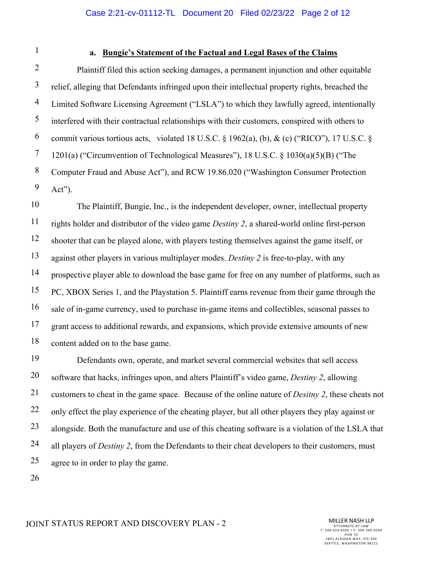### Case 2:21-cv-01112-TL Document 20 Filed 02/23/22 Page 2 of 12

1

#### **a. Bungie's Statement of the Factual and Legal Bases of the Claims**

2 3 4 5 6 7 8 9 Plaintiff filed this action seeking damages, a permanent injunction and other equitable relief, alleging that Defendants infringed upon their intellectual property rights, breached the Limited Software Licensing Agreement ("LSLA") to which they lawfully agreed, intentionally interfered with their contractual relationships with their customers, conspired with others to commit various tortious acts, violated 18 U.S.C.  $\S$  1962(a), (b), & (c) ("RICO"), 17 U.S.C.  $\S$ 1201(a) ("Circumvention of Technological Measures"), 18 U.S.C. § 1030(a)(5)(B) ("The Computer Fraud and Abuse Act"), and RCW 19.86.020 ("Washington Consumer Protection Act").

10 11 12 13 14 15 16 17 18 The Plaintiff, Bungie, Inc., is the independent developer, owner, intellectual property rights holder and distributor of the video game *Destiny 2*, a shared-world online first-person shooter that can be played alone, with players testing themselves against the game itself, or against other players in various multiplayer modes. *Destiny 2* is free-to-play, with any prospective player able to download the base game for free on any number of platforms, such as PC, XBOX Series 1, and the Playstation 5. Plaintiff earns revenue from their game through the sale of in-game currency, used to purchase in-game items and collectibles, seasonal passes to grant access to additional rewards, and expansions, which provide extensive amounts of new content added on to the base game.

19 20 21 22 23 24 25 Defendants own, operate, and market several commercial websites that sell access software that hacks, infringes upon, and alters Plaintiff's video game, *Destiny 2*, allowing customers to cheat in the game space. Because of the online nature of *Desitny 2*, these cheats not only effect the play experience of the cheating player, but all other players they play against or alongside. Both the manufacture and use of this cheating software is a violation of the LSLA that all players of *Destiny 2*, from the Defendants to their cheat developers to their customers, must agree to in order to play the game.

26

#### JOINT STATUS REPORT AND DISCOVERY PLAN - 2

MILLER NASH LLP ATTORNEYS AT LAW T: 206.624.8300 | F: 206.340.9599 PIER 7 0 2801 ALASKAN WAY, STE 300 SEATTLE, WASHINGTON 98121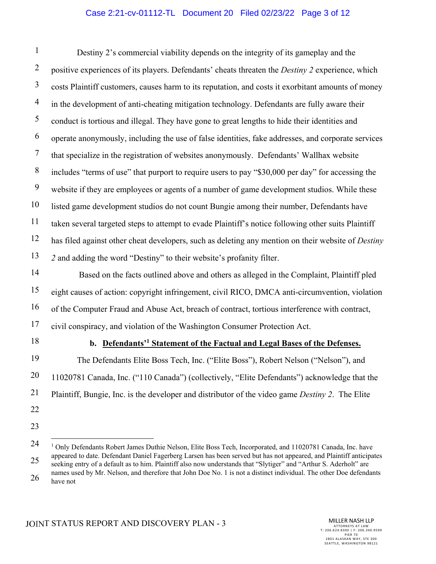# Case 2:21-cv-01112-TL Document 20 Filed 02/23/22 Page 3 of 12

1 2 3 4 5 6 7 8 9 10 11 12 13 Destiny 2's commercial viability depends on the integrity of its gameplay and the positive experiences of its players. Defendants' cheats threaten the *Destiny 2* experience, which costs Plaintiff customers, causes harm to its reputation, and costs it exorbitant amounts of money in the development of anti-cheating mitigation technology. Defendants are fully aware their conduct is tortious and illegal. They have gone to great lengths to hide their identities and operate anonymously, including the use of false identities, fake addresses, and corporate services that specialize in the registration of websites anonymously. Defendants' Wallhax website includes "terms of use" that purport to require users to pay "\$30,000 per day" for accessing the website if they are employees or agents of a number of game development studios. While these listed game development studios do not count Bungie among their number, Defendants have taken several targeted steps to attempt to evade Plaintiff's notice following other suits Plaintiff has filed against other cheat developers, such as deleting any mention on their website of *Destiny 2* and adding the word "Destiny" to their website's profanity filter.

14 15 16 17 Based on the facts outlined above and others as alleged in the Complaint, Plaintiff pled eight causes of action: copyright infringement, civil RICO, DMCA anti-circumvention, violation of the Computer Fraud and Abuse Act, breach of contract, tortious interference with contract, civil conspiracy, and violation of the Washington Consumer Protection Act.

18

## **b. Defendants'1 Statement of the Factual and Legal Bases of the Defenses.**

19 20 21 22 The Defendants Elite Boss Tech, Inc. ("Elite Boss"), Robert Nelson ("Nelson"), and 11020781 Canada, Inc. ("110 Canada") (collectively, "Elite Defendants") acknowledge that the Plaintiff, Bungie, Inc. is the developer and distributor of the video game *Destiny 2*. The Elite

23

<sup>24</sup>  25 26 <sup>1</sup> Only Defendants Robert James Duthie Nelson, Elite Boss Tech, Incorporated, and 11020781 Canada, Inc. have appeared to date. Defendant Daniel Fagerberg Larsen has been served but has not appeared, and Plaintiff anticipates seeking entry of a default as to him. Plaintiff also now understands that "Slytiger" and "Arthur S. Aderholt" are names used by Mr. Nelson, and therefore that John Doe No. 1 is not a distinct individual. The other Doe defendants have not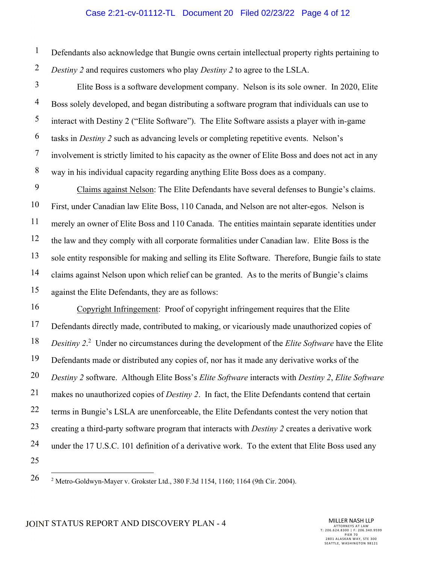#### Case 2:21-cv-01112-TL Document 20 Filed 02/23/22 Page 4 of 12

1 2 Defendants also acknowledge that Bungie owns certain intellectual property rights pertaining to *Destiny 2* and requires customers who play *Destiny 2* to agree to the LSLA.

3 4 5 6 7 8 Elite Boss is a software development company. Nelson is its sole owner. In 2020, Elite Boss solely developed, and began distributing a software program that individuals can use to interact with Destiny 2 ("Elite Software"). The Elite Software assists a player with in-game tasks in *Destiny 2* such as advancing levels or completing repetitive events. Nelson's involvement is strictly limited to his capacity as the owner of Elite Boss and does not act in any way in his individual capacity regarding anything Elite Boss does as a company.

9 10 11 12 13 14 15 Claims against Nelson: The Elite Defendants have several defenses to Bungie's claims. First, under Canadian law Elite Boss, 110 Canada, and Nelson are not alter-egos. Nelson is merely an owner of Elite Boss and 110 Canada. The entities maintain separate identities under the law and they comply with all corporate formalities under Canadian law. Elite Boss is the sole entity responsible for making and selling its Elite Software. Therefore, Bungie fails to state claims against Nelson upon which relief can be granted. As to the merits of Bungie's claims against the Elite Defendants, they are as follows:

16 17 18 19 20 21 22 23 24 25 Copyright Infringement: Proof of copyright infringement requires that the Elite Defendants directly made, contributed to making, or vicariously made unauthorized copies of *Desitiny 2*. 2 Under no circumstances during the development of the *Elite Software* have the Elite Defendants made or distributed any copies of, nor has it made any derivative works of the *Destiny 2* software. Although Elite Boss's *Elite Software* interacts with *Destiny 2*, *Elite Software*  makes no unauthorized copies of *Destiny 2*. In fact, the Elite Defendants contend that certain terms in Bungie's LSLA are unenforceable, the Elite Defendants contest the very notion that creating a third-party software program that interacts with *Destiny 2* creates a derivative work under the 17 U.S.C. 101 definition of a derivative work. To the extent that Elite Boss used any

26 2 Metro-Goldwyn-Mayer v. Grokster Ltd., 380 F.3d 1154, 1160; 1164 (9th Cir. 2004).

JOINT STATUS REPORT AND DISCOVERY PLAN - 4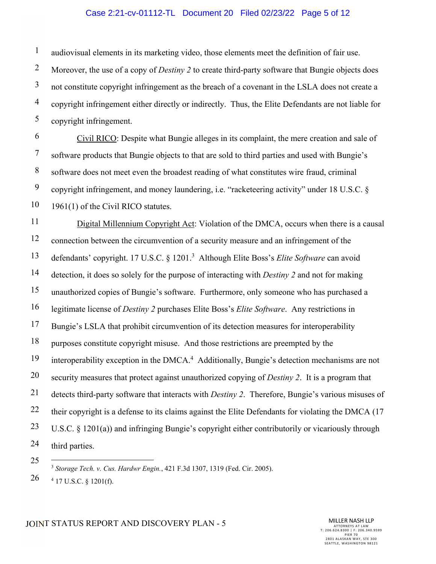### Case 2:21-cv-01112-TL Document 20 Filed 02/23/22 Page 5 of 12

1 audiovisual elements in its marketing video, those elements meet the definition of fair use.

2 3 4 5 Moreover, the use of a copy of *Destiny 2* to create third-party software that Bungie objects does not constitute copyright infringement as the breach of a covenant in the LSLA does not create a copyright infringement either directly or indirectly. Thus, the Elite Defendants are not liable for copyright infringement.

6 7 8 9 10 Civil RICO: Despite what Bungie alleges in its complaint, the mere creation and sale of software products that Bungie objects to that are sold to third parties and used with Bungie's software does not meet even the broadest reading of what constitutes wire fraud, criminal copyright infringement, and money laundering, i.e. "racketeering activity" under 18 U.S.C. § 1961(1) of the Civil RICO statutes.

11 12 13 14 15 16 17 18 19 20 21 22 23 24 Digital Millennium Copyright Act: Violation of the DMCA, occurs when there is a causal connection between the circumvention of a security measure and an infringement of the defendants' copyright. 17 U.S.C. § 1201.<sup>3</sup> Although Elite Boss's *Elite Software* can avoid detection, it does so solely for the purpose of interacting with *Destiny 2* and not for making unauthorized copies of Bungie's software. Furthermore, only someone who has purchased a legitimate license of *Destiny 2* purchases Elite Boss's *Elite Software*. Any restrictions in Bungie's LSLA that prohibit circumvention of its detection measures for interoperability purposes constitute copyright misuse. And those restrictions are preempted by the interoperability exception in the DMCA.<sup>4</sup> Additionally, Bungie's detection mechanisms are not security measures that protect against unauthorized copying of *Destiny 2*. It is a program that detects third-party software that interacts with *Destiny 2*. Therefore, Bungie's various misuses of their copyright is a defense to its claims against the Elite Defendants for violating the DMCA (17 U.S.C. § 1201(a)) and infringing Bungie's copyright either contributorily or vicariously through third parties.

25

1

<sup>3</sup> *Storage Tech. v. Cus. Hardwr Engin.*, 421 F.3d 1307, 1319 (Fed. Cir. 2005).  $4$  17 U.S.C. § 1201(f).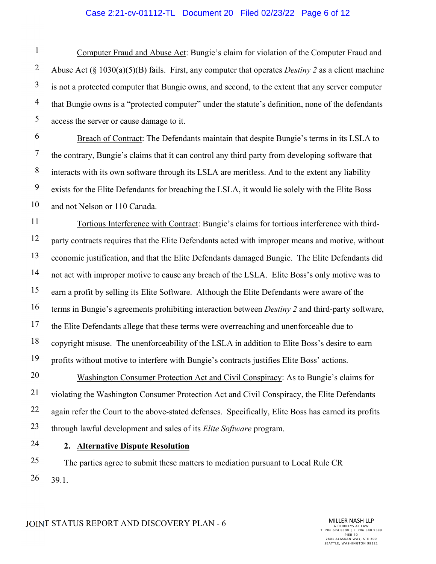### Case 2:21-cv-01112-TL Document 20 Filed 02/23/22 Page 6 of 12

1 2 3 4 5 Computer Fraud and Abuse Act: Bungie's claim for violation of the Computer Fraud and Abuse Act (§ 1030(a)(5)(B) fails. First, any computer that operates *Destiny 2* as a client machine is not a protected computer that Bungie owns, and second, to the extent that any server computer that Bungie owns is a "protected computer" under the statute's definition, none of the defendants access the server or cause damage to it.

6 7 8 9 10 Breach of Contract: The Defendants maintain that despite Bungie's terms in its LSLA to the contrary, Bungie's claims that it can control any third party from developing software that interacts with its own software through its LSLA are meritless. And to the extent any liability exists for the Elite Defendants for breaching the LSLA, it would lie solely with the Elite Boss and not Nelson or 110 Canada.

11 12 13 14 15 16 17 18 19 Tortious Interference with Contract: Bungie's claims for tortious interference with thirdparty contracts requires that the Elite Defendants acted with improper means and motive, without economic justification, and that the Elite Defendants damaged Bungie. The Elite Defendants did not act with improper motive to cause any breach of the LSLA. Elite Boss's only motive was to earn a profit by selling its Elite Software. Although the Elite Defendants were aware of the terms in Bungie's agreements prohibiting interaction between *Destiny 2* and third-party software, the Elite Defendants allege that these terms were overreaching and unenforceable due to copyright misuse. The unenforceability of the LSLA in addition to Elite Boss's desire to earn profits without motive to interfere with Bungie's contracts justifies Elite Boss' actions.

20 21 22 23 Washington Consumer Protection Act and Civil Conspiracy: As to Bungie's claims for violating the Washington Consumer Protection Act and Civil Conspiracy, the Elite Defendants again refer the Court to the above-stated defenses. Specifically, Elite Boss has earned its profits through lawful development and sales of its *Elite Software* program.

24

#### **2. Alternative Dispute Resolution**

25 26 The parties agree to submit these matters to mediation pursuant to Local Rule CR 39.1.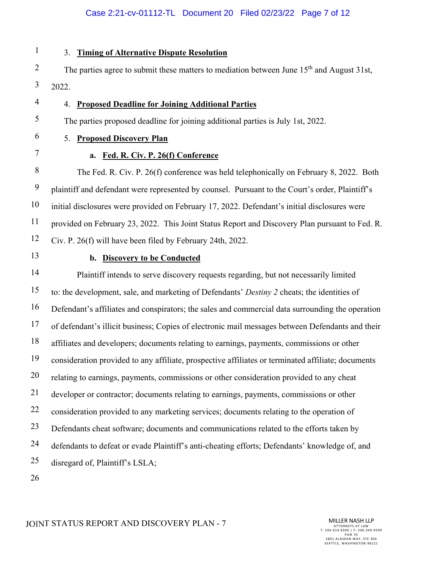### Case 2:21-cv-01112-TL Document 20 Filed 02/23/22 Page 7 of 12

1 2 3 4 5 6 7 8 9 10 11 12 13 14 15 16 17 18 19 20 21 22 23 24 25 26 3. **Timing of Alternative Dispute Resolution** The parties agree to submit these matters to mediation between June  $15<sup>th</sup>$  and August 31st, 2022. 4. **Proposed Deadline for Joining Additional Parties** The parties proposed deadline for joining additional parties is July 1st, 2022. 5. **Proposed Discovery Plan a. Fed. R. Civ. P. 26(f) Conference**  The Fed. R. Civ. P. 26(f) conference was held telephonically on February 8, 2022. Both plaintiff and defendant were represented by counsel. Pursuant to the Court's order, Plaintiff's initial disclosures were provided on February 17, 2022. Defendant's initial disclosures were provided on February 23, 2022. This Joint Status Report and Discovery Plan pursuant to Fed. R. Civ. P. 26(f) will have been filed by February 24th, 2022. **b. Discovery to be Conducted**  Plaintiff intends to serve discovery requests regarding, but not necessarily limited to: the development, sale, and marketing of Defendants' *Destiny 2* cheats; the identities of Defendant's affiliates and conspirators; the sales and commercial data surrounding the operation of defendant's illicit business; Copies of electronic mail messages between Defendants and their affiliates and developers; documents relating to earnings, payments, commissions or other consideration provided to any affiliate, prospective affiliates or terminated affiliate; documents relating to earnings, payments, commissions or other consideration provided to any cheat developer or contractor; documents relating to earnings, payments, commissions or other consideration provided to any marketing services; documents relating to the operation of Defendants cheat software; documents and communications related to the efforts taken by defendants to defeat or evade Plaintiff's anti-cheating efforts; Defendants' knowledge of, and disregard of, Plaintiff's LSLA;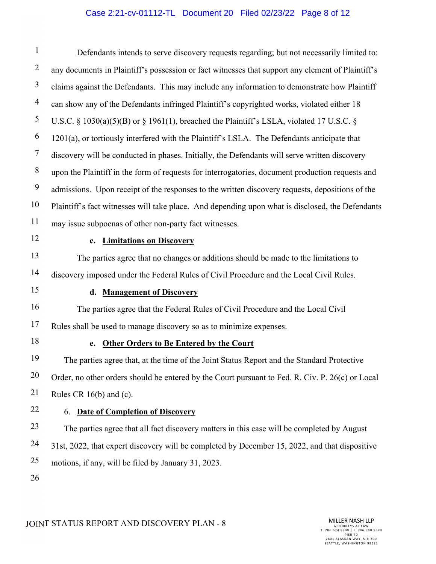# Case 2:21-cv-01112-TL Document 20 Filed 02/23/22 Page 8 of 12

| $\mathbf{1}$   | Defendants intends to serve discovery requests regarding; but not necessarily limited to:         |  |  |
|----------------|---------------------------------------------------------------------------------------------------|--|--|
| $\overline{2}$ | any documents in Plaintiff's possession or fact witnesses that support any element of Plaintiff's |  |  |
| 3              | claims against the Defendants. This may include any information to demonstrate how Plaintiff      |  |  |
| $\overline{4}$ | can show any of the Defendants infringed Plaintiff's copyrighted works, violated either 18        |  |  |
| 5              | U.S.C. § 1030(a)(5)(B) or § 1961(1), breached the Plaintiff's LSLA, violated 17 U.S.C. §          |  |  |
| 6              | 1201(a), or tortiously interfered with the Plaintiff's LSLA. The Defendants anticipate that       |  |  |
| 7              | discovery will be conducted in phases. Initially, the Defendants will serve written discovery     |  |  |
| $8\,$          | upon the Plaintiff in the form of requests for interrogatories, document production requests and  |  |  |
| 9              | admissions. Upon receipt of the responses to the written discovery requests, depositions of the   |  |  |
| 10             | Plaintiff's fact witnesses will take place. And depending upon what is disclosed, the Defendants  |  |  |
| 11             | may issue subpoenas of other non-party fact witnesses.                                            |  |  |
| 12             | <b>Limitations on Discovery</b><br>$c_{\bullet}$                                                  |  |  |
| 13             | The parties agree that no changes or additions should be made to the limitations to               |  |  |
| 14             | discovery imposed under the Federal Rules of Civil Procedure and the Local Civil Rules.           |  |  |
| 15             | <b>Management of Discovery</b><br>d.                                                              |  |  |
| 16             | The parties agree that the Federal Rules of Civil Procedure and the Local Civil                   |  |  |
| 17             | Rules shall be used to manage discovery so as to minimize expenses.                               |  |  |
| 18             | <b>Other Orders to Be Entered by the Court</b><br>e.                                              |  |  |
| 19             | The parties agree that, at the time of the Joint Status Report and the Standard Protective        |  |  |
| 20             | Order, no other orders should be entered by the Court pursuant to Fed. R. Civ. P. 26(c) or Local  |  |  |
| 21             | Rules CR 16(b) and (c).                                                                           |  |  |
| 22             | <b>Date of Completion of Discovery</b><br>6.                                                      |  |  |
| 23             | The parties agree that all fact discovery matters in this case will be completed by August        |  |  |
| 24             | 31st, 2022, that expert discovery will be completed by December 15, 2022, and that dispositive    |  |  |
| 25             | motions, if any, will be filed by January 31, 2023.                                               |  |  |
| 26             |                                                                                                   |  |  |

JOINT STATUS REPORT AND DISCOVERY PLAN - 8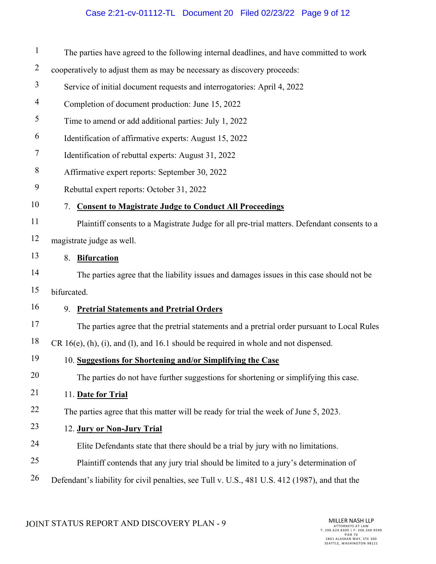# Case 2:21-cv-01112-TL Document 20 Filed 02/23/22 Page 9 of 12

| $\mathbf{1}$   | The parties have agreed to the following internal deadlines, and have committed to work        |  |
|----------------|------------------------------------------------------------------------------------------------|--|
| $\overline{2}$ | cooperatively to adjust them as may be necessary as discovery proceeds:                        |  |
| $\overline{3}$ | Service of initial document requests and interrogatories: April 4, 2022                        |  |
| $\overline{4}$ | Completion of document production: June 15, 2022                                               |  |
| 5              | Time to amend or add additional parties: July 1, 2022                                          |  |
| 6              | Identification of affirmative experts: August 15, 2022                                         |  |
| $\overline{7}$ | Identification of rebuttal experts: August 31, 2022                                            |  |
| 8              | Affirmative expert reports: September 30, 2022                                                 |  |
| 9              | Rebuttal expert reports: October 31, 2022                                                      |  |
| 10             | 7. Consent to Magistrate Judge to Conduct All Proceedings                                      |  |
| 11             | Plaintiff consents to a Magistrate Judge for all pre-trial matters. Defendant consents to a    |  |
| 12             | magistrate judge as well.                                                                      |  |
| 13             | 8. Bifurcation                                                                                 |  |
| 14             | The parties agree that the liability issues and damages issues in this case should not be      |  |
| 15             | bifurcated.                                                                                    |  |
| 16             | 9. Pretrial Statements and Pretrial Orders                                                     |  |
| 17             | The parties agree that the pretrial statements and a pretrial order pursuant to Local Rules    |  |
| 18             | $CR 16(e)$ , (h), (i), and (l), and 16.1 should be required in whole and not dispensed.        |  |
| 19             | 10. Suggestions for Shortening and/or Simplifying the Case                                     |  |
| 20             | The parties do not have further suggestions for shortening or simplifying this case.           |  |
| 21             | 11. Date for Trial                                                                             |  |
| 22             | The parties agree that this matter will be ready for trial the week of June 5, 2023.           |  |
| 23             | 12. Jury or Non-Jury Trial                                                                     |  |
| 24             | Elite Defendants state that there should be a trial by jury with no limitations.               |  |
| 25             | Plaintiff contends that any jury trial should be limited to a jury's determination of          |  |
| 26             | Defendant's liability for civil penalties, see Tull v. U.S., 481 U.S. 412 (1987), and that the |  |

JOINT STATUS REPORT AND DISCOVERY PLAN - 9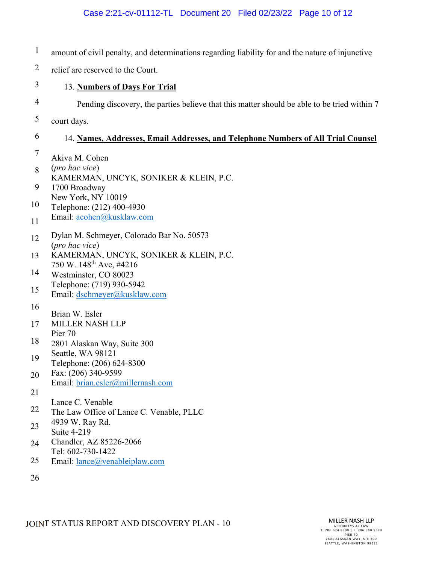| $\mathbf{1}$   | amount of civil penalty, and determinations regarding liability for and the nature of injunctive |
|----------------|--------------------------------------------------------------------------------------------------|
| $\overline{2}$ | relief are reserved to the Court.                                                                |
| 3              | 13. Numbers of Days For Trial                                                                    |
| 4              | Pending discovery, the parties believe that this matter should be able to be tried within 7      |
| 5              | court days.                                                                                      |
| 6              | 14. Names, Addresses, Email Addresses, and Telephone Numbers of All Trial Counsel                |
| $\overline{7}$ | Akiva M. Cohen<br>(pro hac vice)                                                                 |
| 8              | KAMERMAN, UNCYK, SONIKER & KLEIN, P.C.                                                           |
| 9              | 1700 Broadway<br>New York, NY 10019                                                              |
| 10             | Telephone: (212) 400-4930<br>Email: acohen@kusklaw.com                                           |
| 11             |                                                                                                  |
| 12             | Dylan M. Schmeyer, Colorado Bar No. 50573<br>(pro hac vice)                                      |
| 13             | KAMERMAN, UNCYK, SONIKER & KLEIN, P.C.                                                           |
| 14             | 750 W. 148 <sup>th</sup> Ave, #4216<br>Westminster, CO 80023                                     |
| 15             | Telephone: (719) 930-5942<br>Email: dschmeyer@kusklaw.com                                        |
| 16             | Brian W. Esler                                                                                   |
| 17             | <b>MILLER NASH LLP</b>                                                                           |
| 18             | Pier 70<br>2801 Alaskan Way, Suite 300                                                           |
| 19             | Seattle, WA 98121<br>Telephone: (206) 624-8300                                                   |
| 20             | Fax: (206) 340-9599                                                                              |
| 21             | Email: brian.esler@millernash.com                                                                |
| 22             | Lance C. Venable<br>The Law Office of Lance C. Venable, PLLC                                     |
| 23             | 4939 W. Ray Rd.                                                                                  |
| 24             | Suite 4-219<br>Chandler, AZ 85226-2066                                                           |
|                | Tel: 602-730-1422                                                                                |
| 25             | Email: lance@venableiplaw.com                                                                    |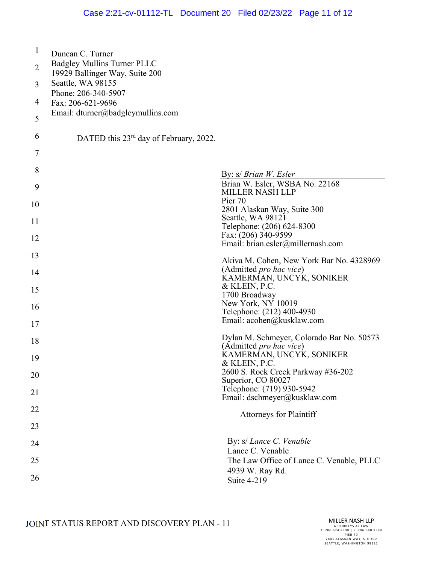| $\mathbf{1}$   | Duncan C. Turner<br><b>Badgley Mullins Turner PLLC</b> |                                                                      |
|----------------|--------------------------------------------------------|----------------------------------------------------------------------|
| $\overline{2}$ | 19929 Ballinger Way, Suite 200<br>Seattle, WA 98155    |                                                                      |
| 3              | Phone: 206-340-5907                                    |                                                                      |
| 4              | Fax: 206-621-9696                                      |                                                                      |
| 5              | Email: $dturner@badgleymullins.com$                    |                                                                      |
| 6              | DATED this 23 <sup>rd</sup> day of February, 2022.     |                                                                      |
| 7              |                                                        |                                                                      |
| 8              |                                                        | By: s/ Brian W. Esler                                                |
| 9              |                                                        | Brian W. Esler, WSBA No. 22168<br><b>MILLER NASH LLP</b>             |
| 10             |                                                        | Pier 70<br>2801 Alaskan Way, Suite 300                               |
| 11             |                                                        | Seattle, WA 98121<br>Telephone: (206) 624-8300                       |
| 12             |                                                        | Fax: (206) 340-9599<br>Email: brian.esler@millernash.com             |
| 13             |                                                        | Akiva M. Cohen, New York Bar No. 4328969                             |
| 14             |                                                        | (Admitted pro hac vice)<br>KAMERMAN, UNCYK, SONIKER                  |
| 15             |                                                        | & KLEIN, P.C.<br>1700 Broadway                                       |
| 16             |                                                        | New York, NY 10019                                                   |
|                |                                                        | Telephone: (212) 400-4930<br>Email: acohen@kusklaw.com               |
| 17             |                                                        |                                                                      |
| 18             |                                                        | Dylan M. Schmeyer, Colorado Bar No. 50573<br>(Admitted pro hac vice) |
| 19             |                                                        | KAMERMAN, UNCYK, SONIKER<br>& KLEIN, P.C.                            |
| 20             |                                                        | 2600 S. Rock Creek Parkway #36-202<br>Superior, CO 80027             |
| 21             |                                                        | Telephone: (719) 930-5942                                            |
| 22             |                                                        | Email: dschmeyer@kusklaw.com                                         |
| 23             |                                                        | <b>Attorneys for Plaintiff</b>                                       |
| 24             |                                                        | <b>By:</b> s/ <i>Lance C. Venable</i>                                |
| 25             |                                                        | Lance C. Venable<br>The Law Office of Lance C. Venable, PLLC         |
| 26             |                                                        | 4939 W. Ray Rd.<br>Suite 4-219                                       |
|                |                                                        |                                                                      |